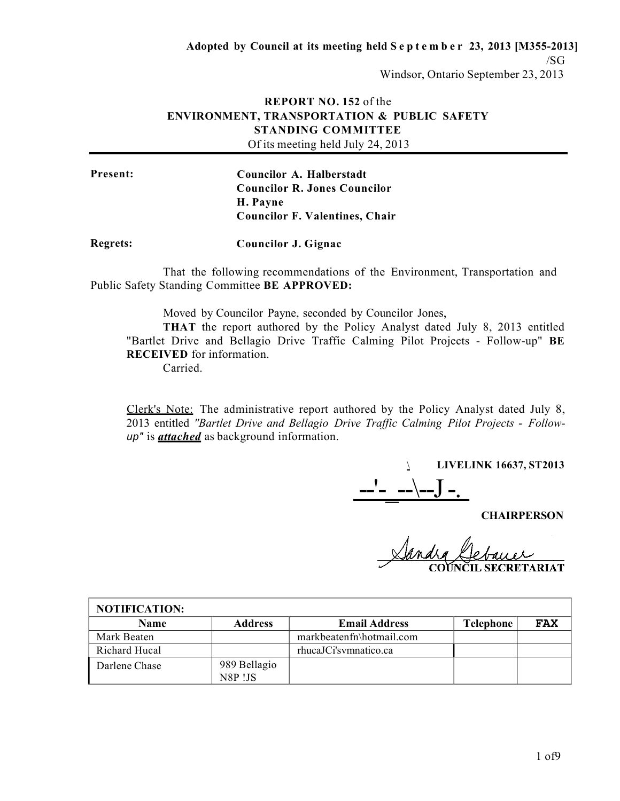#### **REPORT NO. 152** of the **ENVIRONMENT, TRANSPORTATION & PUBLIC SAFETY STANDING COMMITTEE** Of its meeting held July 24, 2013

**Present: Councilor A. Halberstadt Councilor R. Jones Councilor H. Payne Councilor F. Valentines, Chair**

**Regrets: Councilor J. Gignac**

That the following recommendations of the Environment, Transportation and Public Safety Standing Committee **BE APPROVED:**

Moved by Councilor Payne, seconded by Councilor Jones,

**THAT** the report authored by the Policy Analyst dated July 8, 2013 entitled "Bartlet Drive and Bellagio Drive Traffic Calming Pilot Projects - Follow-up" **BE RECEIVED** for information.

Carried.

Clerk's Note: The administrative report authored by the Policy Analyst dated July 8, 2013 entitled *"Bartlet Drive and Bellagio Drive Traffic Calming Pilot Projects* - *Followup"* is *attached* as background information.

\ **LIVELINK 16637, ST2013**

**CHAIRPERSON**

 $\frac{\frac{1}{2} - \frac{1}{2} - \frac{1}{2}}{\frac{1}{2} + \frac{1}{2}}$ CRETARIAT

| <b>NOTIFICATION:</b> |                        |                          |                  |            |
|----------------------|------------------------|--------------------------|------------------|------------|
| <b>Name</b>          | <b>Address</b>         | <b>Email Address</b>     | <b>Telephone</b> | <b>FAX</b> |
| Mark Beaten          |                        | markbeatenfn\hotmail.com |                  |            |
| Richard Hucal        |                        | rhucaJCi'symnatico.ca    |                  |            |
| Darlene Chase        | 989 Bellagio<br>N8P!JS |                          |                  |            |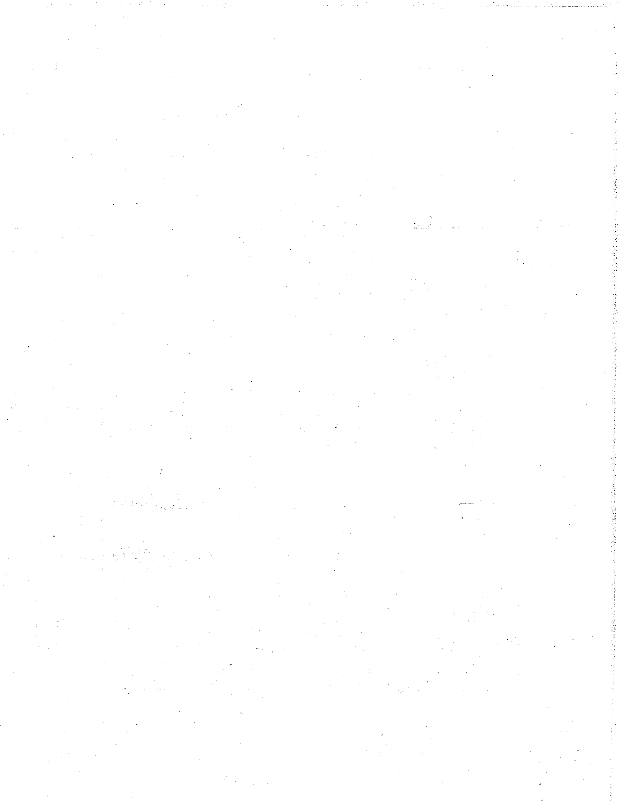$\label{eq:2.1} \frac{1}{2} \int_{0}^{2\pi} \frac{1}{2} \left( \frac{1}{2} \left( \frac{1}{2} \right) \right) \left( \frac{1}{2} \right) \frac{1}{2} \, \frac{1}{2} \left( \frac{1}{2} \right) \, \frac{1}{2} \, \frac{1}{2} \left( \frac{1}{2} \right) \, \frac{1}{2} \, \frac{1}{2} \left( \frac{1}{2} \right) \, \frac{1}{2} \, \frac{1}{2} \left( \frac{1}{2} \right) \, \frac{1}{2} \, \frac{1}{2} \left( \frac{1}{$ 

 $\mathcal{L}^{\text{max}}_{\text{max}}$ 

 $\label{eq:2} \frac{1}{2\pi\mu^2}\sum_{\alpha=1}^{\infty}\frac{1}{\alpha\beta^2}\left(\frac{1}{\alpha\beta^2}\right)^2\frac{1}{\alpha\beta^2}\,.$ 

 $\label{eq:2.1} \frac{1}{\sqrt{2}}\int_{\mathbb{R}^{2}}\left|\frac{d\mathbf{r}}{d\mathbf{r}}\right|^{2}d\mathbf{r}=\frac{1}{2}\int_{\mathbb{R}^{2}}\left|\frac{d\mathbf{r}}{d\mathbf{r}}\right|^{2}d\mathbf{r}.$ 

 $\frac{1}{\sqrt{2}}\sum_{i=1}^{n} \frac{1}{\sqrt{2}}\left(\frac{1}{\sqrt{2}}\right)^2$ 

an Salaman<br>Kabupatèn Suma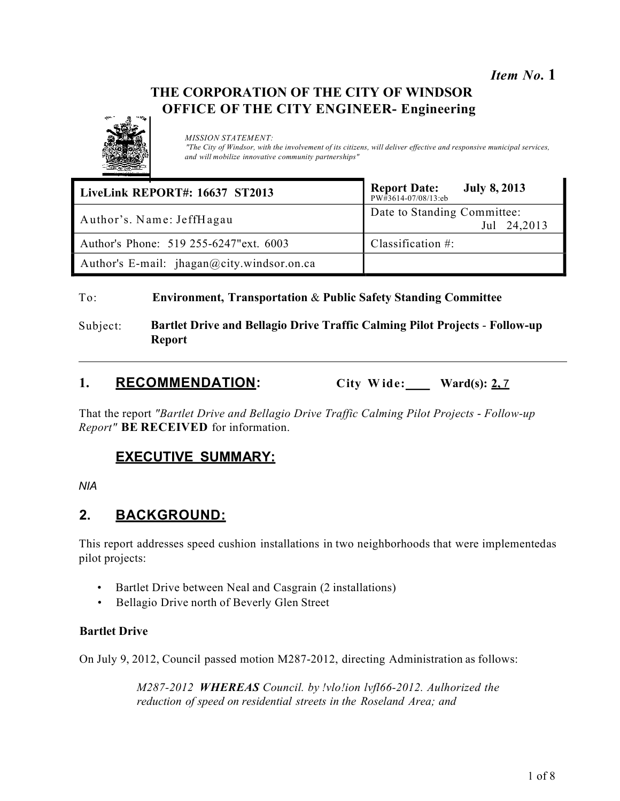*Item No.* **1**

## **THE CORPORATION OF THE CITY OF WINDSOR OFFICE OF THE CITY ENGINEER- Engineering**



*MISSION STATEMENT:*

*"The City of Windsor, with the involvement of its citizens, will deliver effective and responsive municipal services, and will mobilize innovative community partnerships"*

| <b>LiveLink REPORT#: 16637 ST2013</b>      | <b>Report Date:</b><br><b>July 8, 2013</b><br>PW#3614-07/08/13:eb |
|--------------------------------------------|-------------------------------------------------------------------|
| Author's. Name: JeffHagau                  | Date to Standing Committee:<br>Jul 24,2013                        |
| Author's Phone: 519 255-6247" ext. 6003    | Classification $#$ :                                              |
| Author's E-mail: jhagan@city.windsor.on.ca |                                                                   |

#### To: **Environment, Transportation** & **Public Safety Standing Committee**

Subject: **Bartlet Drive and Bellagio Drive Traffic Calming Pilot Projects** - **Follow-up Report**

### **1. RECOMMENDATION: City W ide: Ward(s): 2,** 7

That the report *"Bartlet Drive and Bellagio Drive Traffic Calming Pilot Projects* - *Followup Report"* **BE RECEIVED** for information.

## **EXECUTIVE SUMMARY:**

*NIA*

## **2. BACKGROUND:**

This report addresses speed cushion installations in two neighborhoods that were implementedas pilot projects:

- Bartlet Drive between Neal and Casgrain (2 installations)
- Bellagio Drive north of Beverly Glen Street

#### **Bartlet Drive**

On July 9, 2012, Council passed motion M287-2012, directing Administration as follows:

*M2872012 WHEREAS Council. by !vlo!ion lvfl662012. Aulhorized the reduction of speed on residential streets in the Roseland Area; and*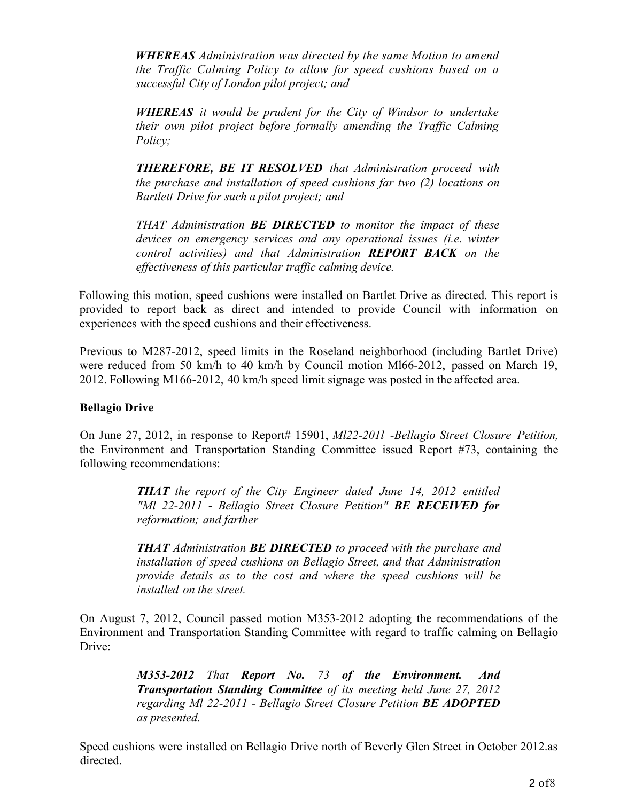*WHEREAS Administration was directed by the same Motion to amend the Traffic Calming Policy to allow for speed cushions based on a successful City of London pilot project; and*

*WHEREAS it would be prudent for the City of Windsor to undertake their own pilot project before formally amending the Traffic Calming Policy;*

*THEREFORE, BE IT RESOLVED that Administration proceed with the purchase and installation of speed cushions far two (2) locations on Bartlett Drive for such a pilot project; and*

*THAT Administration BE DIRECTED to monitor the impact of these devices on emergency services and any operational issues (i.e. winter control activities) and that Administration REPORT BACK on the effectiveness of this particular traffic calming device.*

Following this motion, speed cushions were installed on Bartlet Drive as directed. This report is provided to report back as direct and intended to provide Council with information on experiences with the speed cushions and their effectiveness.

Previous to M287-2012, speed limits in the Roseland neighborhood (including Bartlet Drive) were reduced from 50 km/h to 40 km/h by Council motion Ml66-2012, passed on March 19, 2012. Following M166-2012, 40 km/h speed limit signage was posted in the affected area.

#### **Bellagio Drive**

On June 27, 2012, in response to Report# 15901, *Ml22201l Bellagio Street Closure Petition,* the Environment and Transportation Standing Committee issued Report #73, containing the following recommendations:

> *THAT the report of the City Engineer dated June 14, 2012 entitled "Ml 222011* - *Bellagio Street Closure Petition" BE RECEIVED for reformation; and farther*

> *THAT Administration BE DIRECTED to proceed with the purchase and installation of speed cushions on Bellagio Street, and that Administration provide details as to the cost and where the speed cushions will be installed on the street.*

On August 7, 2012, Council passed motion M353-2012 adopting the recommendations of the Environment and Transportation Standing Committee with regard to traffic calming on Bellagio Drive:

> *M353-2012 That Report No. 73 of the Environment. And Transportation Standing Committee of its meeting held June 27, 2012 regarding Ml 222011* - *Bellagio Street Closure Petition BE ADOPTED as presented.*

Speed cushions were installed on Bellagio Drive north of Beverly Glen Street in October 2012.as directed.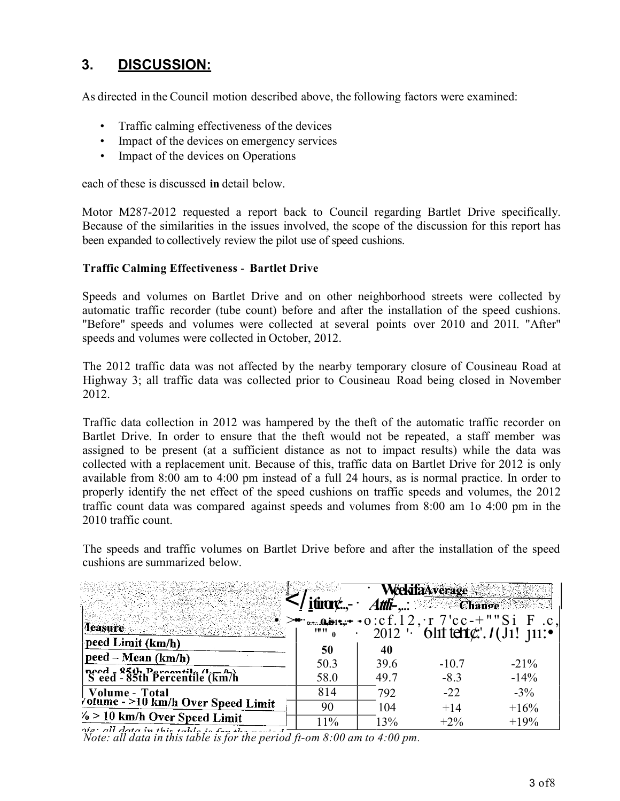## **3. DISCUSSION:**

As directed in the Council motion described above, the following factors were examined:

- Traffic calming effectiveness of the devices
- Impact of the devices on emergency services
- Impact of the devices on Operations

each of these is discussed **in** detail below.

Motor M287-2012 requested a report back to Council regarding Bartlet Drive specifically. Because of the similarities in the issues involved, the scope of the discussion for this report has been expanded to collectively review the pilot use of speed cushions.

#### **Traffic Calming Effectiveness** - **Bartlet Drive**

Speeds and volumes on Bartlet Drive and on other neighborhood streets were collected by automatic traffic recorder (tube count) before and after the installation of the speed cushions. "Before" speeds and volumes were collected at several points over 2010 and 201I. "After" speeds and volumes were collected in October, 2012.

The 2012 traffic data was not affected by the nearby temporary closure of Cousineau Road at Highway 3; all traffic data was collected prior to Cousineau Road being closed in November 2012.

Traffic data collection in 2012 was hampered by the theft of the automatic traffic recorder on Bartlet Drive. In order to ensure that the theft would not be repeated, a staff member was assigned to be present (at a sufficient distance as not to impact results) while the data was collected with a replacement unit. Because of this, traffic data on Bartlet Drive for 2012 is only available from 8:00 am to 4:00 pm instead of a full 24 hours, as is normal practice. In order to properly identify the net effect of the speed cushions on traffic speeds and volumes, the 2012 traffic count data was compared against speeds and volumes from 8:00 am 1o 4:00 pm in the 2010 traffic count.

The speeds and traffic volumes on Bartlet Drive before and after the installation of the speed cushions are summarized below.

|                                                                          | <b>External Strategy</b> |      | <b>WekifaAverage</b><br>Attli- Change |                                                                                                                                                                                                                                                                                                                                                                                                            |
|--------------------------------------------------------------------------|--------------------------|------|---------------------------------------|------------------------------------------------------------------------------------------------------------------------------------------------------------------------------------------------------------------------------------------------------------------------------------------------------------------------------------------------------------------------------------------------------------|
| <b>leasure</b>                                                           |                          |      |                                       | $= \begin{bmatrix} -\frac{1}{2} & \frac{1}{2} & \frac{1}{2} & \frac{1}{2} & \frac{1}{2} & \frac{1}{2} & \frac{1}{2} & \frac{1}{2} & \frac{1}{2} & \frac{1}{2} \\ \frac{1}{2} & \frac{1}{2} & \frac{1}{2} & \frac{1}{2} & \frac{1}{2} & \frac{1}{2} & \frac{1}{2} & \frac{1}{2} & \frac{1}{2} \\ \frac{1}{2} & \frac{1}{2} & \frac{1}{2} & \frac{1}{2} & \frac{1}{2} & \frac{1}{2} & \frac{1}{2} & \frac{1$ |
| peed Limit (km/h)                                                        | 50                       | 40   |                                       |                                                                                                                                                                                                                                                                                                                                                                                                            |
| peed – Mean (km/h)                                                       | 50.3                     | 39.6 | $-10.7$                               | $-21\%$                                                                                                                                                                                                                                                                                                                                                                                                    |
| need - 85th Percentile (km/h)<br>S eed - 85th Percentile (km/h)          | 58.0                     | 49.7 | $-8.3$                                | $-14%$                                                                                                                                                                                                                                                                                                                                                                                                     |
| Volume - Total<br>/olume ->10 km/h Over Speed Limit                      | 814                      | 792  | $-22$                                 | $-3\%$                                                                                                                                                                                                                                                                                                                                                                                                     |
|                                                                          | 90                       | 104  | $+14$                                 | $+16%$                                                                                                                                                                                                                                                                                                                                                                                                     |
| $\%$ > 10 km/h Over Speed Limit<br>$\mathbf{u}$ . The state $\mathbf{v}$ | 11%                      | 13%  | $+2\%$                                | $+19%$                                                                                                                                                                                                                                                                                                                                                                                                     |

*Note: all data in this table is for the period ftom 8:00 am to 4:00 pm.*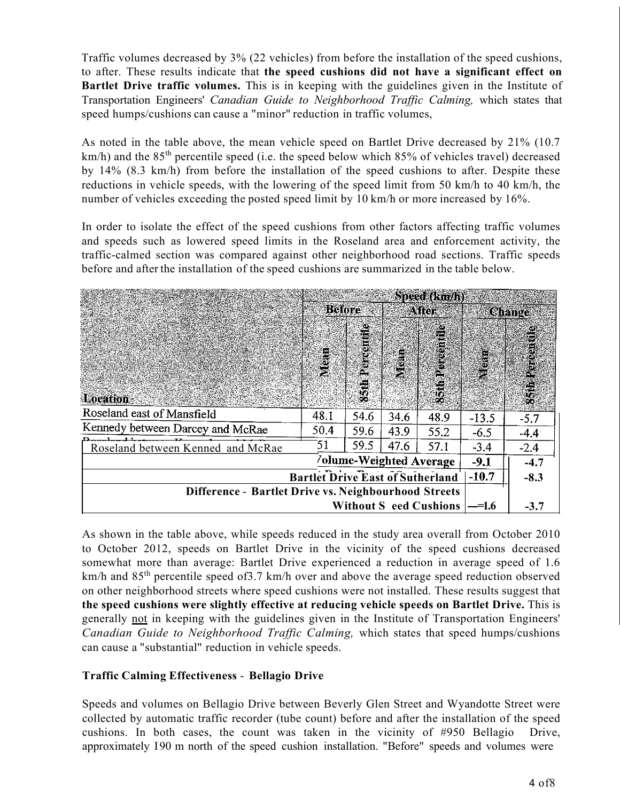Traffic volumes decreased by 3% (22 vehicles) from before the installation of the speed cushions, to after. These results indicate that **the speed cushions did not have a significant effect on Bartlet Drive traffic volumes.** This is in keeping with the guidelines given in the Institute of Transportation Engineers' *Canadian Guide to Neighborhood Traffic Calming,* which states that speed humps/cushions can cause a "minor" reduction in traffic volumes,

As noted in the table above, the mean vehicle speed on Bartlet Drive decreased by 21% (10.7  $km/h$ ) and the 85<sup>th</sup> percentile speed (i.e. the speed below which 85% of vehicles travel) decreased by 14% (8.3 km/h) from before the installation of the speed cushions to after. Despite these reductions in vehicle speeds, with the lowering of the speed limit from 50 km/h to 40 km/h, the number of vehicles exceeding the posted speed limit by 10 km/h or more increased by 16%.

In order to isolate the effect of the speed cushions from other factors affecting traffic volumes and speeds such as lowered speed limits in the Roseland area and enforcement activity, the traffic-calmed section was compared against other neighborhood road sections. Traffic speeds before and after the installation of the speed cushions are summarized in the table below.

|                                                             |                                         |                 |             | Speed (km/h)                  |         |                         |
|-------------------------------------------------------------|-----------------------------------------|-----------------|-------------|-------------------------------|---------|-------------------------|
|                                                             | Before<br>After:<br>Change              |                 |             |                               |         |                         |
|                                                             |                                         |                 |             |                               |         |                         |
|                                                             |                                         | 85th Percentile |             | Percent                       |         | $3510$ below $\epsilon$ |
|                                                             | <b>Mean</b>                             |                 |             |                               |         |                         |
|                                                             |                                         |                 | <b>Mean</b> |                               | in<br>2 |                         |
|                                                             |                                         |                 |             |                               |         |                         |
| Location                                                    |                                         |                 |             | ś                             |         |                         |
| Roseland east of Mansfield                                  | 48.1                                    | 54.6            | 34.6        | 48.9                          | $-13.5$ | $-5.7$                  |
| Kennedy between Darcey and McRae                            | 50.4                                    | 59.6            | 43.9        | 55.2                          | $-6.5$  | $-4.4$                  |
| Roseland between Kenned and McRae                           | 51                                      | 59.5            | 47.6        | 57.1                          | $-3.4$  | $-2.4$                  |
|                                                             |                                         |                 |             | /olume-Weighted Average       | $-9.1$  | $-4.7$                  |
|                                                             | <b>Bartlet Drive East of Sutherland</b> |                 |             |                               | $-10.7$ | $-8.3$                  |
| <b>Difference - Bartlet Drive vs. Neighbourhood Streets</b> |                                         |                 |             |                               |         |                         |
|                                                             |                                         |                 |             | <b>Without S eed Cushions</b> | $=1.6$  | $-3.7$                  |

As shown in the table above, while speeds reduced in the study area overall from October 2010 to October 2012, speeds on Bartlet Drive in the vicinity of the speed cushions decreased somewhat more than average: Bartlet Drive experienced a reduction in average speed of 1.6 km/h and 85<sup>th</sup> percentile speed of 3.7 km/h over and above the average speed reduction observed on other neighborhood streets where speed cushions were not installed. These results suggest that **the speed cushions were slightly effective at reducing vehicle speeds on Bartlet Drive.** This is generally not in keeping with the guidelines given in the Institute of Transportation Engineers' *Canadian Guide to Neighborhood Traffic Calming,* which states that speed humps/cushions can cause a "substantial" reduction in vehicle speeds.

#### **Traffic Calming Effectiveness** - **Bellagio Drive**

Speeds and volumes on Bellagio Drive between Beverly Glen Street and Wyandotte Street were collected by automatic traffic recorder (tube count) before and after the installation of the speed cushions. In both cases, the count was taken in the vicinity of #950 Bellagio Drive, approximately 190 m north of the speed cushion installation. "Before" speeds and volumes were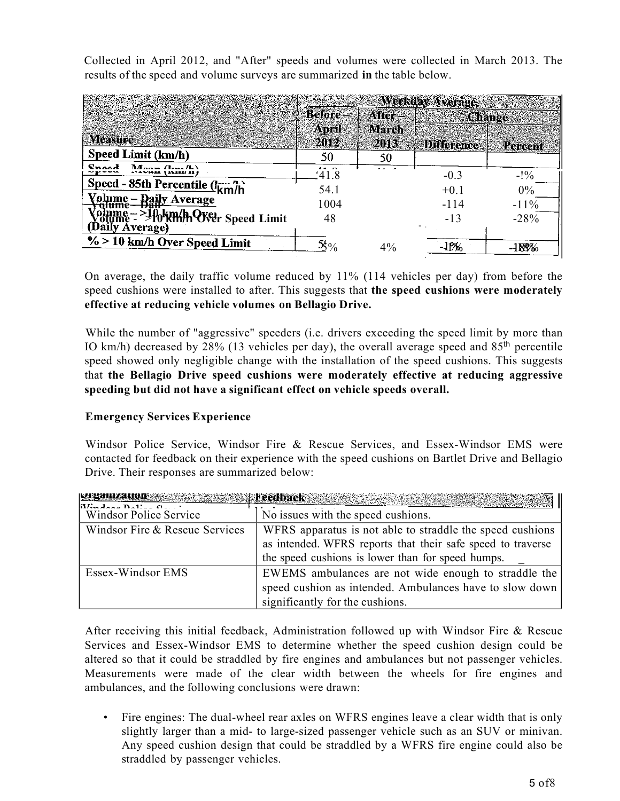Collected in April 2012, and "After" speeds and volumes were collected in March 2013. The results of the speed and volume surveys are summarized **in** the table below.

|                                                                                  |                        |           | <b>Weekday Average</b> |                  |
|----------------------------------------------------------------------------------|------------------------|-----------|------------------------|------------------|
|                                                                                  | <b>Before</b>          | AY (Green |                        | Change           |
|                                                                                  | <b>April</b>           | March     |                        |                  |
| <b>Measure</b>                                                                   | 2012                   | 2013.     | <b>Difference</b>      | <b>Percent</b>   |
| Speed Limit (km/h)                                                               | 50                     | 50        |                        |                  |
| $M$ aan $H_{\text{max}}$ $H_{\text{max}}$<br><b>S</b> nood                       | $\overline{1}$<br>41.8 |           | $-0.3$                 | $-! \frac{9}{6}$ |
| Speed - 85th Percentile $(l_{\text{km}}/l_{\text{h}})$                           | 54.1                   |           | $+0.1$                 | 0%               |
| Volume - Raily Average                                                           |                        |           |                        |                  |
|                                                                                  | 1004                   |           | $-114$                 | $-11\%$          |
| Volume – >ff) km/h Qyer<br>Volume - >f0 km/h Qyer Speed Limit<br>(Daily Average) | 48                     |           | $-13$                  | $-28%$           |
| $% > 10$ km/h Over Speed Limit                                                   | 5ξο∕                   | 4%        | $-1.066$               | $-188%$          |
|                                                                                  |                        |           |                        |                  |

On average, the daily traffic volume reduced by 11% (114 vehicles per day) from before the speed cushions were installed to after. This suggests that **the speed cushions were moderately effective at reducing vehicle volumes on Bellagio Drive.**

While the number of "aggressive" speeders (i.e. drivers exceeding the speed limit by more than IO km/h) decreased by 28% (13 vehicles per day), the overall average speed and  $85<sup>th</sup>$  percentile speed showed only negligible change with the installation of the speed cushions. This suggests that **the Bellagio Drive speed cushions were moderately effective at reducing aggressive speeding but did not have a significant effect on vehicle speeds overall.**

#### **Emergency Services Experience**

Windsor Police Service, Windsor Fire & Rescue Services, and Essex-Windsor EMS were contacted for feedback on their experience with the speed cushions on Bartlet Drive and Bellagio Drive. Their responses are summarized below:

| $W_{in}$ degr Delias $\Omega_{out}$ | <u>and the contract of the contract of the contract of the contract of the contract of the contract of the contract of the contract of the contract of the contract of the contract of the contract of the contract of the contr</u> |
|-------------------------------------|--------------------------------------------------------------------------------------------------------------------------------------------------------------------------------------------------------------------------------------|
| <b>Windsor Police Service</b>       | No issues with the speed cushions.                                                                                                                                                                                                   |
| Windsor Fire & Rescue Services      | WFRS apparatus is not able to straddle the speed cushions                                                                                                                                                                            |
|                                     | as intended. WFRS reports that their safe speed to traverse                                                                                                                                                                          |
|                                     | the speed cushions is lower than for speed humps.                                                                                                                                                                                    |
| Essex-Windsor EMS                   | EWEMS ambulances are not wide enough to straddle the                                                                                                                                                                                 |
|                                     | speed cushion as intended. Ambulances have to slow down                                                                                                                                                                              |
|                                     | significantly for the cushions.                                                                                                                                                                                                      |

**MARTHEAUDTE AND SEARCH AND STATES AND STATES AND STATES AND STATES AND STATES AND STATES AND STATES AND STATES** 

After receiving this initial feedback, Administration followed up with Windsor Fire & Rescue Services and Essex-Windsor EMS to determine whether the speed cushion design could be altered so that it could be straddled by fire engines and ambulances but not passenger vehicles. Measurements were made of the clear width between the wheels for fire engines and ambulances, and the following conclusions were drawn:

• Fire engines: The dual-wheel rear axles on WFRS engines leave a clear width that is only slightly larger than a mid- to large-sized passenger vehicle such as an SUV or minivan. Any speed cushion design that could be straddled by a WFRS fire engine could also be straddled by passenger vehicles.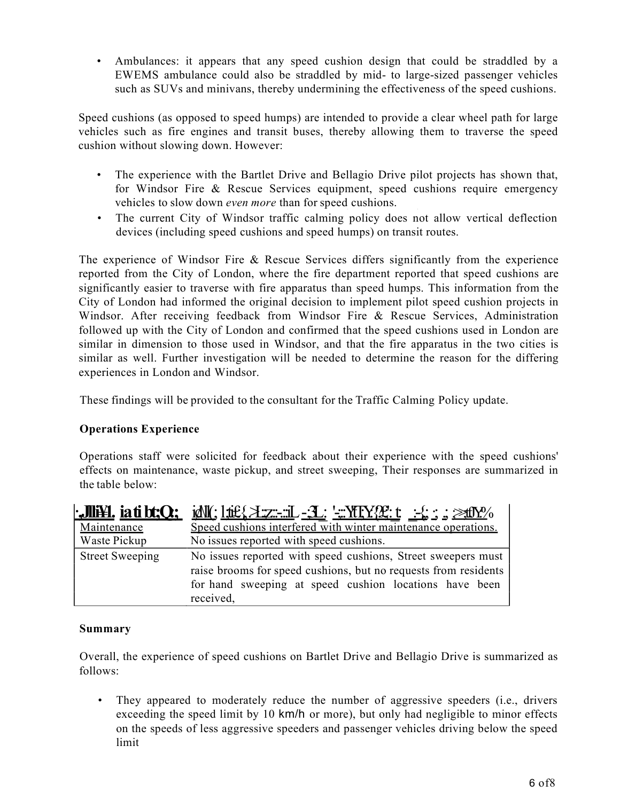• Ambulances: it appears that any speed cushion design that could be straddled by a EWEMS ambulance could also be straddled by mid- to large-sized passenger vehicles such as SUVs and minivans, thereby undermining the effectiveness of the speed cushions.

Speed cushions (as opposed to speed humps) are intended to provide a clear wheel path for large vehicles such as fire engines and transit buses, thereby allowing them to traverse the speed cushion without slowing down. However:

- . . vehicles to slow down *even more* than for speed cushions. The experience with the Bartlet Drive and Bellagio Drive pilot projects has shown that, for Windsor Fire & Rescue Services equipment, speed cushions require emergency
- The current City of Windsor traffic calming policy does not allow vertical deflection devices (including speed cushions and speed humps) on transit routes.

The experience of Windsor Fire & Rescue Services differs significantly from the experience reported from the City of London, where the fire department reported that speed cushions are significantly easier to traverse with fire apparatus than speed humps. This information from the City of London had informed the original decision to implement pilot speed cushion projects in Windsor. After receiving feedback from Windsor Fire & Rescue Services, Administration followed up with the City of London and confirmed that the speed cushions used in London are similar in dimension to those used in Windsor, and that the fire apparatus in the two cities is similar as well. Further investigation will be needed to determine the reason for the differing experiences in London and Windsor.

These findings will be provided to the consultant for the Traffic Calming Policy update.

#### **Operations Experience**

Operations staff were solicited for feedback about their experience with the speed cushions' effects on maintenance, waste pickup, and street sweeping, Their responses are summarized in the table below:

|                        | $\cdot$ , Mi¥l. ia ti bt;Q; $\cdot$ idN(; $1$ it $\ell$ {, $\lambda$ -z::-.::I_-;X_; '-;;;YtTY{Q: t $\cdot$ : $\ell$ ; :; ; $\gg$ ffY; $\%$                                                            |
|------------------------|--------------------------------------------------------------------------------------------------------------------------------------------------------------------------------------------------------|
| Maintenance            | Speed cushions interfered with winter maintenance operations.                                                                                                                                          |
| Waste Pickup           | No issues reported with speed cushions.                                                                                                                                                                |
| <b>Street Sweeping</b> | No issues reported with speed cushions, Street sweepers must<br>raise brooms for speed cushions, but no requests from residents<br>for hand sweeping at speed cushion locations have been<br>received, |

#### **Summary**

Overall, the experience of speed cushions on Bartlet Drive and Bellagio Drive is summarized as follows:

• They appeared to moderately reduce the number of aggressive speeders (i.e., drivers exceeding the speed limit by 10 km/h or more), but only had negligible to minor effects on the speeds of less aggressive speeders and passenger vehicles driving below the speed limit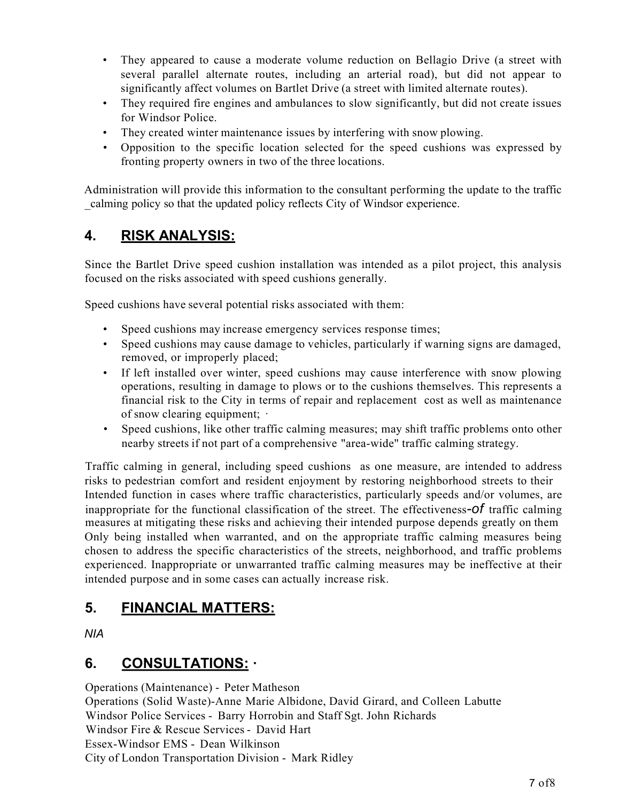- They appeared to cause a moderate volume reduction on Bellagio Drive (a street with several parallel alternate routes, including an arterial road), but did not appear to significantly affect volumes on Bartlet Drive (a street with limited alternate routes).
- They required fire engines and ambulances to slow significantly, but did not create issues for Windsor Police.
- They created winter maintenance issues by interfering with snow plowing.
- Opposition to the specific location selected for the speed cushions was expressed by fronting property owners in two of the three locations.

Administration will provide this information to the consultant performing the update to the traffic \_calming policy so that the updated policy reflects City of Windsor experience.

## **4. RISK ANALYSIS:**

Since the Bartlet Drive speed cushion installation was intended as a pilot project, this analysis focused on the risks associated with speed cushions generally.

Speed cushions have several potential risks associated with them:

- Speed cushions may increase emergency services response times;
- Speed cushions may cause damage to vehicles, particularly if warning signs are damaged, removed, or improperly placed;
- If left installed over winter, speed cushions may cause interference with snow plowing operations, resulting in damage to plows or to the cushions themselves. This represents a financial risk to the City in terms of repair and replacement cost as well as maintenance of snow clearing equipment; ·
- Speed cushions, like other traffic calming measures; may shift traffic problems onto other nearby streets if not part of a comprehensive "area-wide" traffic calming strategy.

Traffic calming in general, including speed cushions as one measure, are intended to address risks to pedestrian comfort and resident enjoyment by restoring neighborhood streets to their Intended function in cases where traffic characteristics, particularly speeds and/or volumes, are inappropriate for the functional classification of the street. The effectiveness*-of* traffic calming measures at mitigating these risks and achieving their intended purpose depends greatly on them Only being installed when warranted, and on the appropriate traffic calming measures being chosen to address the specific characteristics of the streets, neighborhood, and traffic problems experienced. Inappropriate or unwarranted traffic calming measures may be ineffective at their intended purpose and in some cases can actually increase risk.

## **5. FINANCIAL MATTERS:**

*NIA*

## **6. CONSULTATIONS: ·**

Operations (Maintenance) - Peter Matheson Operations (Solid Waste)-Anne Marie Albidone, David Girard, and Colleen Labutte Windsor Police Services - Barry Horrobin and Staff Sgt. John Richards Windsor Fire & Rescue Services - David Hart Essex-Windsor EMS - Dean Wilkinson City of London Transportation Division - Mark Ridley